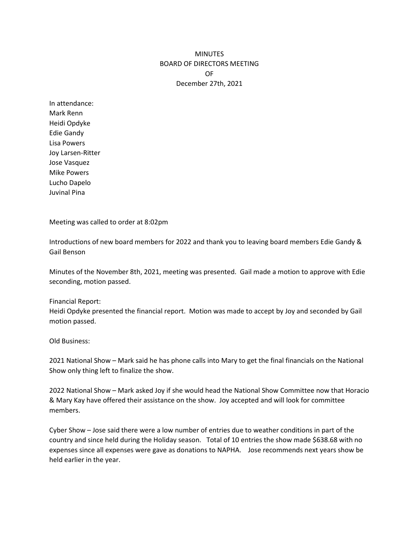## **MINUTES** BOARD OF DIRECTORS MEETING OF December 27th, 2021

In attendance: Mark Renn Heidi Opdyke Edie Gandy Lisa Powers Joy Larsen-Ritter Jose Vasquez Mike Powers Lucho Dapelo Juvinal Pina

Meeting was called to order at 8:02pm

Introductions of new board members for 2022 and thank you to leaving board members Edie Gandy & Gail Benson

Minutes of the November 8th, 2021, meeting was presented. Gail made a motion to approve with Edie seconding, motion passed.

## Financial Report:

Heidi Opdyke presented the financial report. Motion was made to accept by Joy and seconded by Gail motion passed.

## Old Business:

2021 National Show – Mark said he has phone calls into Mary to get the final financials on the National Show only thing left to finalize the show.

2022 National Show – Mark asked Joy if she would head the National Show Committee now that Horacio & Mary Kay have offered their assistance on the show. Joy accepted and will look for committee members.

Cyber Show – Jose said there were a low number of entries due to weather conditions in part of the country and since held during the Holiday season. Total of 10 entries the show made \$638.68 with no expenses since all expenses were gave as donations to NAPHA. Jose recommends next years show be held earlier in the year.